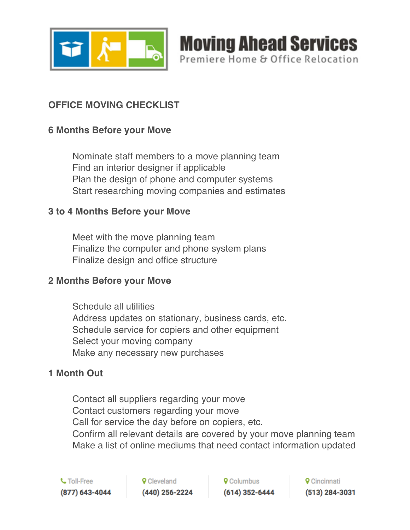

# **OFFICE MOVING CHECKLIST**

# **6 Months Before your Move**

 Nominate staff members to a move planning team Find an interior designer if applicable Plan the design of phone and computer systems Start researching moving companies and estimates

#### **3 to 4 Months Before your Move**

 Meet with the move planning team Finalize the computer and phone system plans Finalize design and office structure

#### **2 Months Before your Move**

 Schedule all utilities Address updates on stationary, business cards, etc. Schedule service for copiers and other equipment Select your moving company Make any necessary new purchases

# **1 Month Out**

 Contact all suppliers regarding your move Contact customers regarding your move Call for service the day before on copiers, etc. Confirm all relevant details are covered by your move planning team Make a list of online mediums that need contact information updated

**9** Cleveland (440) 256-2224 **9** Columbus  $(614)$  352-6444

**Moving Ahead Services** 

Premiere Home & Office Relocation

**Q** Cincinnati (513) 284-3031